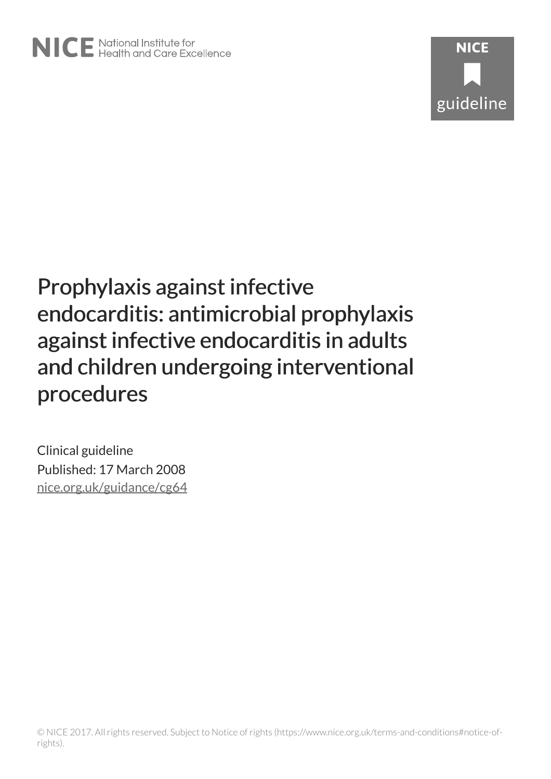# **NICE** guideline

# Prophylaxis against infective endocarditis: antimicrobial prophylaxis against infective endocarditis in adults and children undergoing interventional procedures

Clinical guideline Published: 17 March 2008 [nice.org.uk/guidance/cg64](http://nice.org.uk/guidance/cg64)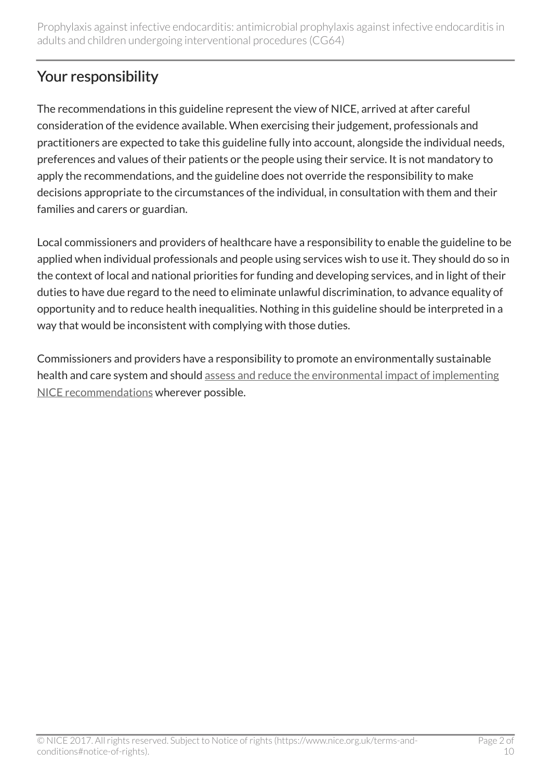# Your responsibility

The recommendations in this guideline represent the view of NICE, arrived at after careful consideration of the evidence available. When exercising their judgement, professionals and practitioners are expected to take this guideline fully into account, alongside the individual needs, preferences and values of their patients or the people using their service. It is not mandatory to apply the recommendations, and the guideline does not override the responsibility to make decisions appropriate to the circumstances of the individual, in consultation with them and their families and carers or guardian.

Local commissioners and providers of healthcare have a responsibility to enable the guideline to be applied when individual professionals and people using services wish to use it. They should do so in the context of local and national priorities for funding and developing services, and in light of their duties to have due regard to the need to eliminate unlawful discrimination, to advance equality of opportunity and to reduce health inequalities. Nothing in this guideline should be interpreted in a way that would be inconsistent with complying with those duties.

Commissioners and providers have a responsibility to promote an environmentally sustainable health and care system and should [assess and reduce the environmental impact of implementing](https://www.nice.org.uk/about/who-we-are/sustainability) [NICE recommendations](https://www.nice.org.uk/about/who-we-are/sustainability) wherever possible.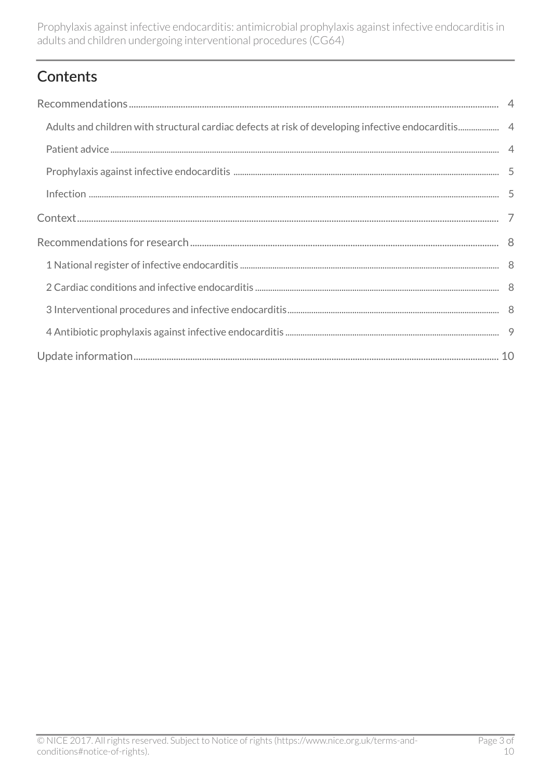# **Contents**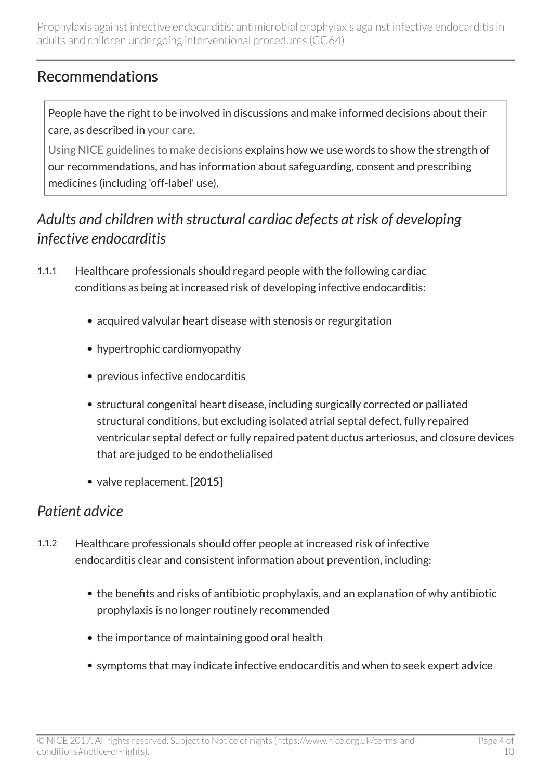#### <span id="page-3-0"></span>Recommendations

People have the right to be involved in discussions and make informed decisions about their care, as described in [your care](http://www.nice.org.uk/about/nice-communities/public-involvement/your-care).

[Using NICE guidelines to make decisions](http://www.nice.org.uk/about/what-we-do/our-programmes/nice-guidance/nice-guidelines/making-decisions-using-nice-guidelines) explains how we use words to show the strength of our recommendations, and has information about safeguarding, consent and prescribing medicines (including 'off-label' use).

#### <span id="page-3-1"></span>*Adults and children with structural cardiac defects at risk of developing infective endocarditis*

- 1.1.1 Healthcare professionals should regard people with the following cardiac conditions as being at increased risk of developing infective endocarditis:
	- acquired valvular heart disease with stenosis or regurgitation
	- hypertrophic cardiomyopathy
	- previous infective endocarditis
	- structural congenital heart disease, including surgically corrected or palliated structural conditions, but excluding isolated atrial septal defect, fully repaired ventricular septal defect or fully repaired patent ductus arteriosus, and closure devices that are judged to be endothelialised
	- valve replacement. [2015]

#### <span id="page-3-2"></span>*Patient advice*

- 1.1.2 Healthcare professionals should offer people at increased risk of infective endocarditis clear and consistent information about prevention, including:
	- the benefits and risks of antibiotic prophylaxis, and an explanation of why antibiotic prophylaxis is no longer routinely recommended
	- the importance of maintaining good oral health
	- symptoms that may indicate infective endocarditis and when to seek expert advice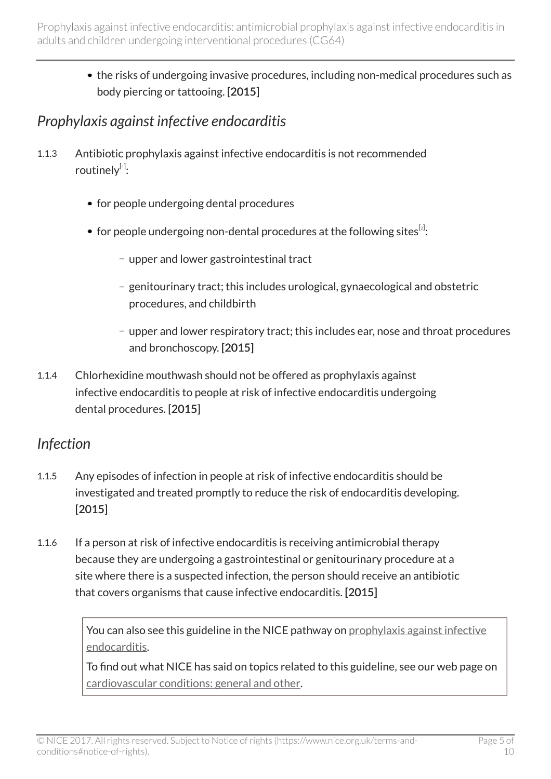> • the risks of undergoing invasive procedures, including non-medical procedures such as body piercing or tattooing. [2015]

#### <span id="page-4-0"></span>*Prophylaxis against infective endocarditis*

- <span id="page-4-3"></span><span id="page-4-2"></span>1.1.3 Antibiotic prophylaxis against infective endocarditis is not recommended routinely[[1](#page-5-0)]:
	- for people undergoing dental procedures
	- for people undergoing non-dental procedures at the following sites $^{\lbrack 2]}.$  $^{\lbrack 2]}.$  $^{\lbrack 2]}.$ 
		- upper and lower gastrointestinal tract
		- genitourinary tract; this includes urological, gynaecological and obstetric procedures, and childbirth
		- upper and lower respiratory tract; this includes ear, nose and throat procedures and bronchoscopy. [2015]
- 1.1.4 Chlorhexidine mouthwash should not be offered as prophylaxis against infective endocarditis to people at risk of infective endocarditis undergoing dental procedures. [2015]

#### <span id="page-4-1"></span>*Infection*

- 1.1.5 Any episodes of infection in people at risk of infective endocarditis should be investigated and treated promptly to reduce the risk of endocarditis developing. [2015]
- 1.1.6 If a person at risk of infective endocarditis is receiving antimicrobial therapy because they are undergoing a gastrointestinal or genitourinary procedure at a site where there is a suspected infection, the person should receive an antibiotic that covers organisms that cause infective endocarditis. [2015]

You can also see this guideline in the NICE pathway on [prophylaxis against infective](http://pathways.nice.org.uk/pathways/prophylaxis-against-infective-endocarditis) [endocarditis.](http://pathways.nice.org.uk/pathways/prophylaxis-against-infective-endocarditis)

To find out what NICE has said on topics related to this guideline, see our web page on [cardiovascular conditions: general and other](http://www.nice.org.uk/guidance/conditions-and-diseases/cardiovascular-conditions/cardiovascular-conditions--general-and-other).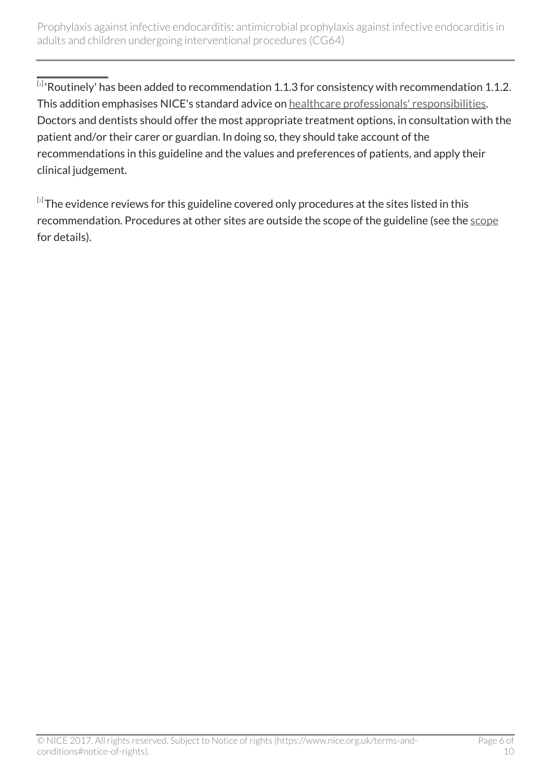<span id="page-5-0"></span> $^{\left[ 1 \right]}$  $^{\left[ 1 \right]}$  $^{\left[ 1 \right]}$  Routinely' has been added to recommendation 1.1.3 for consistency with recommendation 1.1.2. This addition emphasises NICE's standard advice on [healthcare professionals' responsibilities.](http://www.nice.org.uk/guidance/cg64) Doctors and dentists should offer the most appropriate treatment options, in consultation with the patient and/or their carer or guardian. In doing so, they should take account of the recommendations in this guideline and the values and preferences of patients, and apply their clinical judgement.

<span id="page-5-1"></span> $^{\text{\tiny{[2]}}}$  $^{\text{\tiny{[2]}}}$  $^{\text{\tiny{[2]}}}$ The evidence reviews for this guideline covered only procedures at the sites listed in this recommendation. Procedures at other sites are outside the scope of the guideline (see the [scope](http://www.nice.org.uk/guidance/CG64/documents) for details).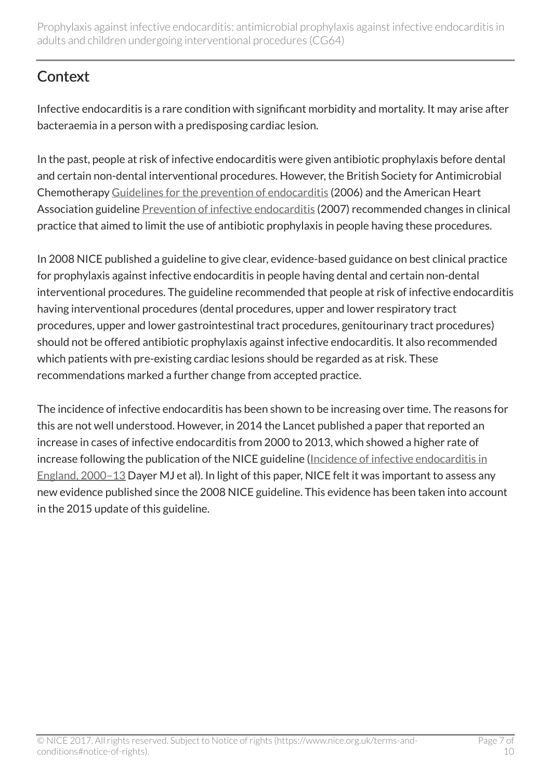# <span id="page-6-0"></span>**Context**

Infective endocarditis is a rare condition with significant morbidity and mortality. It may arise after bacteraemia in a person with a predisposing cardiac lesion.

In the past, people at risk of infective endocarditis were given antibiotic prophylaxis before dental and certain non-dental interventional procedures. However, the British Society for Antimicrobial Chemotherapy [Guidelines for the prevention of endocarditis](http://jac.oxfordjournals.org/content/57/6/1035.full) (2006) and the American Heart Association guideline [Prevention of infective endocarditis](http://circ.ahajournals.org/content/116/15/1736.full) (2007) recommended changes in clinical practice that aimed to limit the use of antibiotic prophylaxis in people having these procedures.

In 2008 NICE published a guideline to give clear, evidence-based guidance on best clinical practice for prophylaxis against infective endocarditis in people having dental and certain non-dental interventional procedures. The guideline recommended that people at risk of infective endocarditis having interventional procedures (dental procedures, upper and lower respiratory tract procedures, upper and lower gastrointestinal tract procedures, genitourinary tract procedures) should not be offered antibiotic prophylaxis against infective endocarditis. It also recommended which patients with pre-existing cardiac lesions should be regarded as at risk. These recommendations marked a further change from accepted practice.

The incidence of infective endocarditis has been shown to be increasing over time. The reasons for this are not well understood. However, in 2014 the Lancet published a paper that reported an increase in cases of infective endocarditis from 2000 to 2013, which showed a higher rate of increase following the publication of the NICE guideline [\(Incidence of infective endocarditis in](http://www.thelancet.com/journals/lancet/article/PIIS0140-6736(14)62007-9/abstract) [England, 2000–13](http://www.thelancet.com/journals/lancet/article/PIIS0140-6736(14)62007-9/abstract) Dayer MJ et al). In light of this paper, NICE felt it was important to assess any new evidence published since the 2008 NICE guideline. This evidence has been taken into account in the 2015 update of this guideline.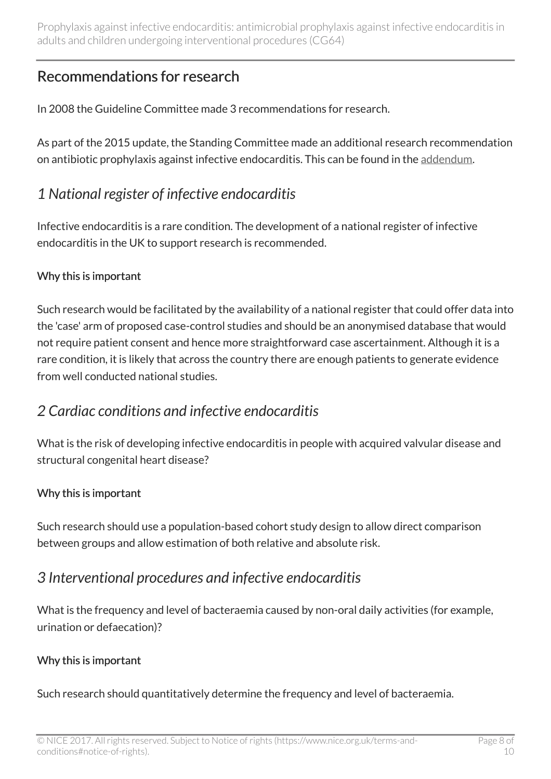#### <span id="page-7-0"></span>Recommendations for research

In 2008 the Guideline Committee made 3 recommendations for research.

As part of the 2015 update, the Standing Committee made an additional research recommendation on antibiotic prophylaxis against infective endocarditis. This can be found in the [addendum](http://www.nice.org.uk/Guidance/cg64/Evidence).

#### <span id="page-7-1"></span>*1 National register of infective endocarditis*

Infective endocarditis is a rare condition. The development of a national register of infective endocarditis in the UK to support research is recommended.

#### Why this is important

Such research would be facilitated by the availability of a national register that could offer data into the 'case' arm of proposed case-control studies and should be an anonymised database that would not require patient consent and hence more straightforward case ascertainment. Although it is a rare condition, it is likely that across the country there are enough patients to generate evidence from well conducted national studies.

#### <span id="page-7-2"></span>*2 Cardiac conditions and infective endocarditis*

What is the risk of developing infective endocarditis in people with acquired valvular disease and structural congenital heart disease?

#### Why this is important

Such research should use a population-based cohort study design to allow direct comparison between groups and allow estimation of both relative and absolute risk.

#### <span id="page-7-3"></span>*3 Interventional procedures and infective endocarditis*

What is the frequency and level of bacteraemia caused by non-oral daily activities (for example, urination or defaecation)?

#### Why this is important

Such research should quantitatively determine the frequency and level of bacteraemia.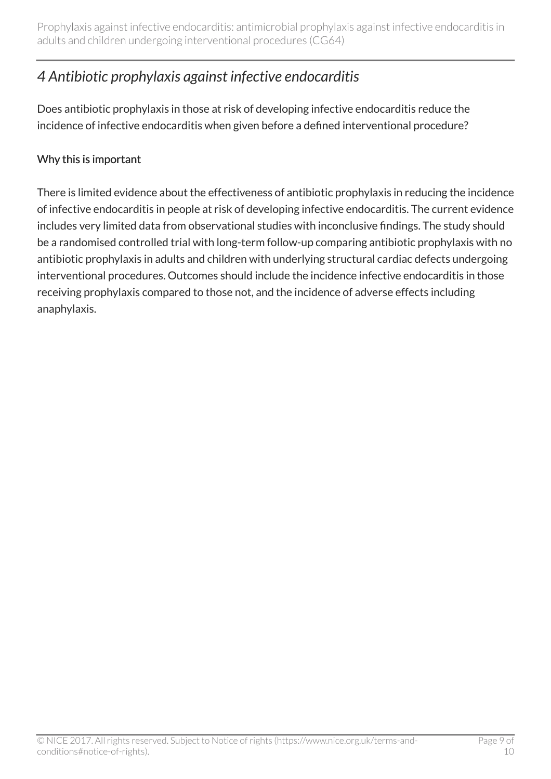# <span id="page-8-0"></span>*4 Antibiotic prophylaxis against infective endocarditis*

Does antibiotic prophylaxis in those at risk of developing infective endocarditis reduce the incidence of infective endocarditis when given before a defined interventional procedure?

#### Why this is important

There is limited evidence about the effectiveness of antibiotic prophylaxis in reducing the incidence of infective endocarditis in people at risk of developing infective endocarditis. The current evidence includes very limited data from observational studies with inconclusive findings. The study should be a randomised controlled trial with long-term follow-up comparing antibiotic prophylaxis with no antibiotic prophylaxis in adults and children with underlying structural cardiac defects undergoing interventional procedures. Outcomes should include the incidence infective endocarditis in those receiving prophylaxis compared to those not, and the incidence of adverse effects including anaphylaxis.